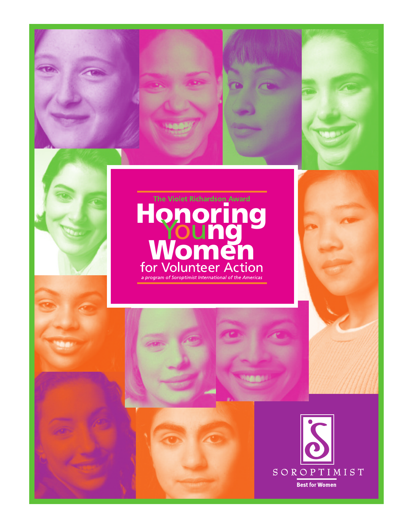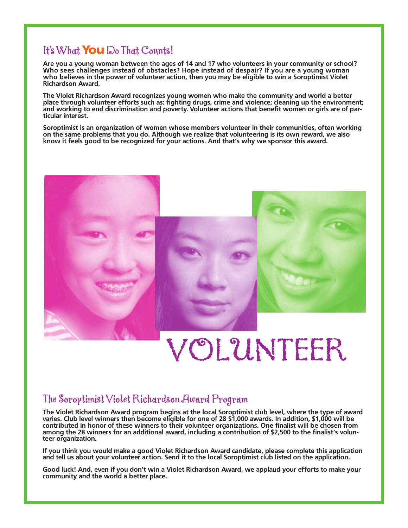## It's What **You** Do That Counts!

**Are you a young woman between the ages of 14 and 17 who volunteers in your community or school? Who sees challenges instead of obstacles? Hope instead of despair? If you are a young woman who believes in the power of volunteer action, then you may be eligible to win a Soroptimist Violet Richardson Award.**

**The Violet Richardson Award recognizes young women who make the community and world a better place through volunteer efforts such as: fighting drugs, crime and violence; cleaning up the environment; and working to end discrimination and poverty. Volunteer actions that benefit women or girls are of particular interest.**

**Soroptimist is an organization of women whose members volunteer in their communities, often working on the same problems that you do. Although we realize that volunteering is its own reward, we also know it feels good to be recognized for your actions. And that's why we sponsor this award.**



# VOLUNTEER

## The Soroptimist Violet Richardson Award Program

**The Violet Richardson Award program begins at the local Soroptimist club level, where the type of award varies. Club level winners then become eligible for one of 28 \$1,000 awards. In addition, \$1,000 will be contributed in honor of these winners to their volunteer organizations. One finalist will be chosen from among the 28 winners for an additional award, including a contribution of \$2,500 to the finalist's volunteer organization.**

**If you think you would make a good Violet Richardson Award candidate, please complete this application and tell us about your volunteer action. Send it to the local Soroptimist club listed on the application.**

**Good luck! And, even if you don't win a Violet Richardson Award, we applaud your efforts to make your community and the world a better place.**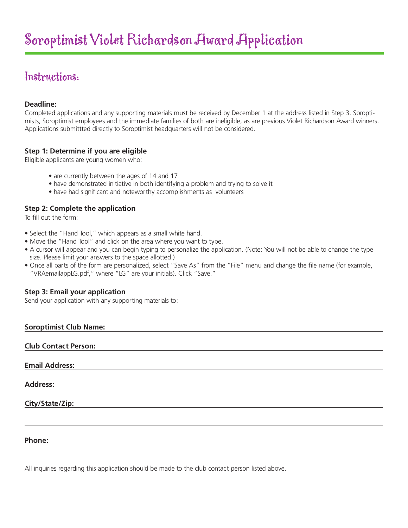## Instructions:

#### **Deadline:**

Completed applications and any supporting materials must be received by December 1 at the address listed in Step 3. Soroptimists, Soroptimist employees and the immediate families of both are ineligible, as are previous Violet Richardson Award winners. Applications submittted directly to Soroptimist headquarters will not be considered.

#### **Step 1: Determine if you are eligible**

Eligible applicants are young women who:

- are currently between the ages of 14 and 17
- have demonstrated initiative in both identifying a problem and trying to solve it
- have had significant and noteworthy accomplishments as volunteers

#### **Step 2: Complete the application**

To fill out the form:

- Select the "Hand Tool," which appears as a small white hand.
- Move the "Hand Tool" and click on the area where you want to type.
- A cursor will appear and you can begin typing to personalize the application. (Note: You will not be able to change the type size. Please limit your answers to the space allotted.)
- Once all parts of the form are personalized, select "Save As" from the "File" menu and change the file name (for example, "VRAemailappLG.pdf," where "LG" are your initials). Click "Save."

#### **Step 3: Email your application**

Send your application with any supporting materials to:

| <b>Soroptimist Club Name:</b> |  |  |
|-------------------------------|--|--|
| <b>Club Contact Person:</b>   |  |  |
| <b>Email Address:</b>         |  |  |
| <b>Address:</b>               |  |  |
| City/State/Zip:               |  |  |
|                               |  |  |
| Phone:                        |  |  |

All inquiries regarding this application should be made to the club contact person listed above.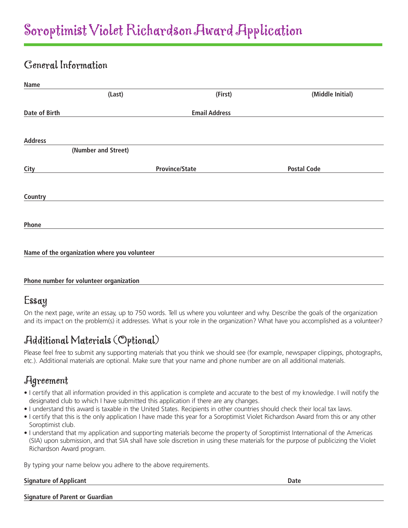## General Information

| Name           |                                              |                       |                    |  |
|----------------|----------------------------------------------|-----------------------|--------------------|--|
|                | (Last)                                       | (First)               | (Middle Initial)   |  |
| Date of Birth  |                                              | <b>Email Address</b>  |                    |  |
| <b>Address</b> |                                              |                       |                    |  |
|                | (Number and Street)                          |                       |                    |  |
| City           |                                              | <b>Province/State</b> | <b>Postal Code</b> |  |
| Country        |                                              |                       |                    |  |
| Phone          |                                              |                       |                    |  |
|                | Name of the organization where you volunteer |                       |                    |  |

#### **Phone number for volunteer organization**

## Essay

On the next page, write an essay, up to 750 words. Tell us where you volunteer and why. Describe the goals of the organization and its impact on the problem(s) it addresses. What is your role in the organization? What have you accomplished as a volunteer?

## Additional Materials (Optional)

Please feel free to submit any supporting materials that you think we should see (for example, newspaper clippings, photographs, etc.). Additional materials are optional. Make sure that your name and phone number are on all additional materials.

### Agreement

- I certify that all information provided in this application is complete and accurate to the best of my knowledge. I will notify the designated club to which I have submitted this application if there are any changes.
- I understand this award is taxable in the United States. Recipients in other countries should check their local tax laws.
- I certify that this is the only application I have made this year for a Soroptimist Violet Richardson Award from this or any other Soroptimist club.
- I understand that my application and supporting materials become the property of Soroptimist International of the Americas (SIA) upon submission, and that SIA shall have sole discretion in using these materials for the purpose of publicizing the Violet Richardson Award program.

By typing your name below you adhere to the above requirements.

#### **Signature of Applicant Date**

**Signature of Parent or Guardian**